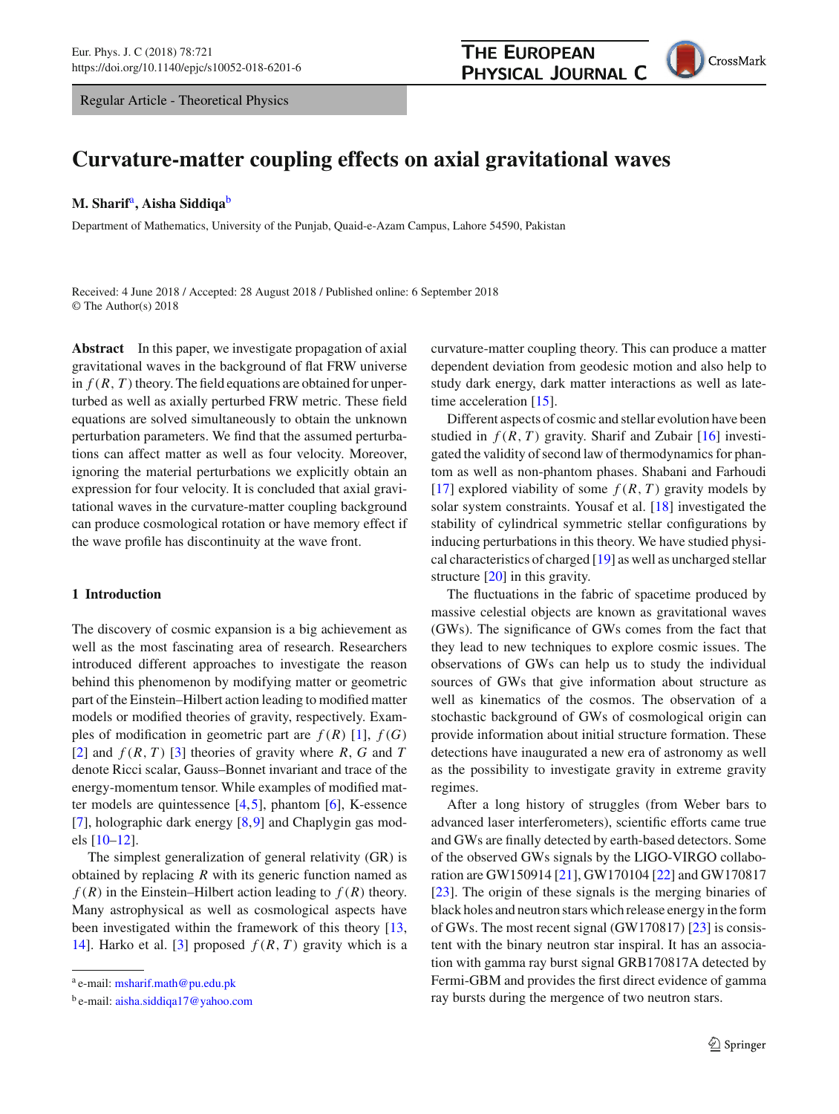Regular Article - Theoretical Physics



# **Curvature-matter coupling effects on axial gravitational waves**

### **M. Sharif**a**, Aisha Siddiqa**<sup>b</sup>

Department of Mathematics, University of the Punjab, Quaid-e-Azam Campus, Lahore 54590, Pakistan

Received: 4 June 2018 / Accepted: 28 August 2018 / Published online: 6 September 2018 © The Author(s) 2018

**Abstract** In this paper, we investigate propagation of axial gravitational waves in the background of flat FRW universe in  $f(R, T)$  theory. The field equations are obtained for unperturbed as well as axially perturbed FRW metric. These field equations are solved simultaneously to obtain the unknown perturbation parameters. We find that the assumed perturbations can affect matter as well as four velocity. Moreover, ignoring the material perturbations we explicitly obtain an expression for four velocity. It is concluded that axial gravitational waves in the curvature-matter coupling background can produce cosmological rotation or have memory effect if the wave profile has discontinuity at the wave front.

## **1 Introduction**

The discovery of cosmic expansion is a big achievement as well as the most fascinating area of research. Researchers introduced different approaches to investigate the reason behind this phenomenon by modifying matter or geometric part of the Einstein–Hilbert action leading to modified matter models or modified theories of gravity, respectively. Examples of modification in geometric part are  $f(R)$  [\[1\]](#page-6-0),  $f(G)$ [\[2](#page-6-1)] and  $f(R, T)$  [\[3\]](#page-6-2) theories of gravity where  $R, G$  and  $T$ denote Ricci scalar, Gauss–Bonnet invariant and trace of the energy-momentum tensor. While examples of modified matter models are quintessence [\[4](#page-6-3)[,5](#page-6-4)], phantom [\[6](#page-6-5)], K-essence [\[7](#page-6-6)], holographic dark energy [\[8,](#page-6-7)[9\]](#page-6-8) and Chaplygin gas models [\[10](#page-6-9)[–12\]](#page-6-10).

The simplest generalization of general relativity (GR) is obtained by replacing *R* with its generic function named as  $f(R)$  in the Einstein–Hilbert action leading to  $f(R)$  theory. Many astrophysical as well as cosmological aspects have been investigated within the framework of this theory [\[13,](#page-6-11) [14\]](#page-6-12). Harko et al. [\[3\]](#page-6-2) proposed  $f(R, T)$  gravity which is a

curvature-matter coupling theory. This can produce a matter dependent deviation from geodesic motion and also help to study dark energy, dark matter interactions as well as late-time acceleration [\[15](#page-6-13)].

Different aspects of cosmic and stellar evolution have been studied in  $f(R, T)$  gravity. Sharif and Zubair  $[16]$  $[16]$  investigated the validity of second law of thermodynamics for phantom as well as non-phantom phases. Shabani and Farhoudi [\[17](#page-6-15)] explored viability of some  $f(R, T)$  gravity models by solar system constraints. Yousaf et al. [\[18](#page-6-16)] investigated the stability of cylindrical symmetric stellar configurations by inducing perturbations in this theory. We have studied physical characteristics of charged [\[19\]](#page-6-17) as well as uncharged stellar structure [\[20\]](#page-6-18) in this gravity.

The fluctuations in the fabric of spacetime produced by massive celestial objects are known as gravitational waves (GWs). The significance of GWs comes from the fact that they lead to new techniques to explore cosmic issues. The observations of GWs can help us to study the individual sources of GWs that give information about structure as well as kinematics of the cosmos. The observation of a stochastic background of GWs of cosmological origin can provide information about initial structure formation. These detections have inaugurated a new era of astronomy as well as the possibility to investigate gravity in extreme gravity regimes.

After a long history of struggles (from Weber bars to advanced laser interferometers), scientific efforts came true and GWs are finally detected by earth-based detectors. Some of the observed GWs signals by the LIGO-VIRGO collaboration are GW150914 [\[21\]](#page-6-19), GW170104 [\[22](#page-6-20)] and GW170817 [\[23](#page-6-21)]. The origin of these signals is the merging binaries of black holes and neutron stars which release energy in the form of GWs. The most recent signal (GW170817) [\[23\]](#page-6-21) is consistent with the binary neutron star inspiral. It has an association with gamma ray burst signal GRB170817A detected by Fermi-GBM and provides the first direct evidence of gamma ray bursts during the mergence of two neutron stars.

<sup>a</sup> e-mail: [msharif.math@pu.edu.pk](mailto:msharif.math@pu.edu.pk)

<sup>b</sup> e-mail: [aisha.siddiqa17@yahoo.com](mailto:aisha.siddiqa17@yahoo.com)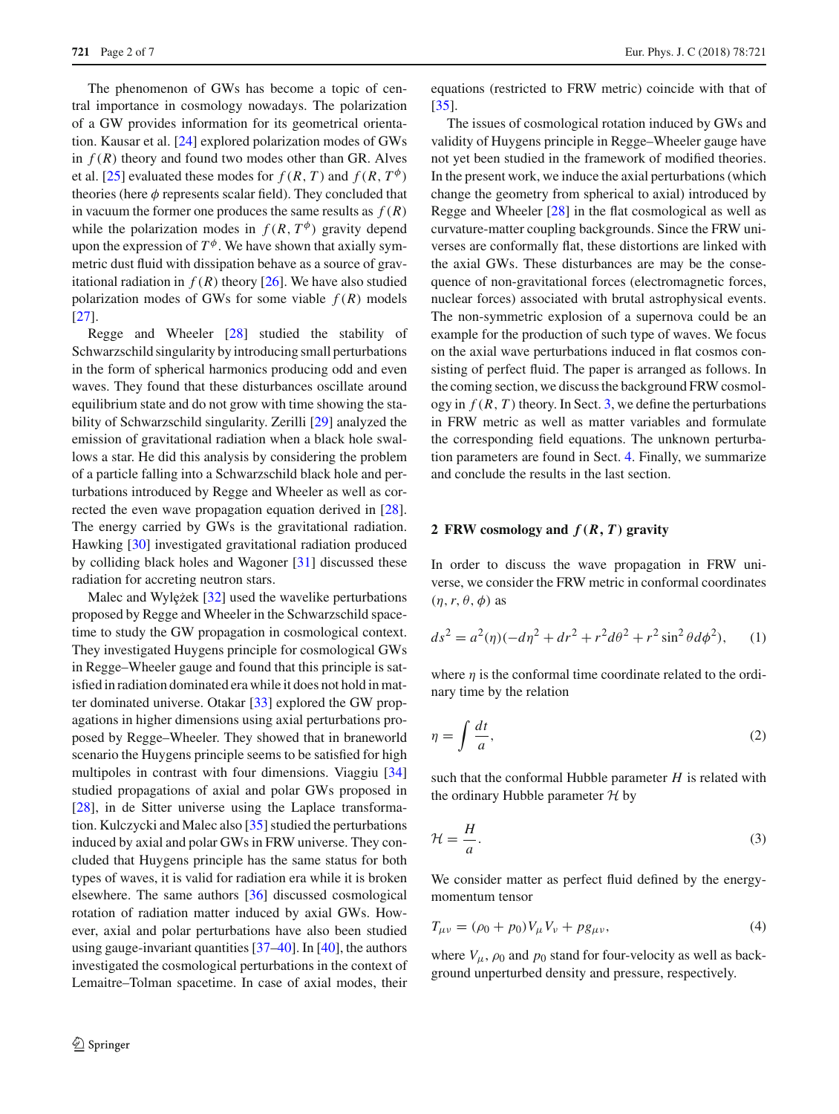The phenomenon of GWs has become a topic of central importance in cosmology nowadays. The polarization of a GW provides information for its geometrical orientation. Kausar et al. [\[24\]](#page-6-22) explored polarization modes of GWs in  $f(R)$  theory and found two modes other than GR. Alves et al. [\[25\]](#page-6-23) evaluated these modes for  $f(R, T)$  and  $f(R, T^{\phi})$ theories (here  $\phi$  represents scalar field). They concluded that in vacuum the former one produces the same results as  $f(R)$ while the polarization modes in  $f(R, T^{\phi})$  gravity depend upon the expression of  $T^{\phi}$ . We have shown that axially symmetric dust fluid with dissipation behave as a source of gravitational radiation in  $f(R)$  theory [\[26](#page-6-24)]. We have also studied polarization modes of GWs for some viable  $f(R)$  models [\[27](#page-6-25)].

Regge and Wheeler [\[28\]](#page-6-26) studied the stability of Schwarzschild singularity by introducing small perturbations in the form of spherical harmonics producing odd and even waves. They found that these disturbances oscillate around equilibrium state and do not grow with time showing the stability of Schwarzschild singularity. Zerilli [\[29](#page-6-27)] analyzed the emission of gravitational radiation when a black hole swallows a star. He did this analysis by considering the problem of a particle falling into a Schwarzschild black hole and perturbations introduced by Regge and Wheeler as well as corrected the even wave propagation equation derived in [\[28](#page-6-26)]. The energy carried by GWs is the gravitational radiation. Hawking [\[30\]](#page-6-28) investigated gravitational radiation produced by colliding black holes and Wagoner [\[31\]](#page-6-29) discussed these radiation for accreting neutron stars.

Malec and Wylężek  $[32]$  $[32]$  used the wavelike perturbations proposed by Regge and Wheeler in the Schwarzschild spacetime to study the GW propagation in cosmological context. They investigated Huygens principle for cosmological GWs in Regge–Wheeler gauge and found that this principle is satisfied in radiation dominated era while it does not hold in matter dominated universe. Otakar [\[33](#page-6-31)] explored the GW propagations in higher dimensions using axial perturbations proposed by Regge–Wheeler. They showed that in braneworld scenario the Huygens principle seems to be satisfied for high multipoles in contrast with four dimensions. Viaggiu [\[34\]](#page-6-32) studied propagations of axial and polar GWs proposed in [\[28](#page-6-26)], in de Sitter universe using the Laplace transformation. Kulczycki and Malec also [\[35](#page-6-33)] studied the perturbations induced by axial and polar GWs in FRW universe. They concluded that Huygens principle has the same status for both types of waves, it is valid for radiation era while it is broken elsewhere. The same authors [\[36\]](#page-6-34) discussed cosmological rotation of radiation matter induced by axial GWs. However, axial and polar perturbations have also been studied using gauge-invariant quantities [\[37](#page-6-35)[–40](#page-6-36)]. In [\[40](#page-6-36)], the authors investigated the cosmological perturbations in the context of Lemaitre–Tolman spacetime. In case of axial modes, their equations (restricted to FRW metric) coincide with that of [\[35](#page-6-33)].

The issues of cosmological rotation induced by GWs and validity of Huygens principle in Regge–Wheeler gauge have not yet been studied in the framework of modified theories. In the present work, we induce the axial perturbations (which change the geometry from spherical to axial) introduced by Regge and Wheeler [\[28](#page-6-26)] in the flat cosmological as well as curvature-matter coupling backgrounds. Since the FRW universes are conformally flat, these distortions are linked with the axial GWs. These disturbances are may be the consequence of non-gravitational forces (electromagnetic forces, nuclear forces) associated with brutal astrophysical events. The non-symmetric explosion of a supernova could be an example for the production of such type of waves. We focus on the axial wave perturbations induced in flat cosmos consisting of perfect fluid. The paper is arranged as follows. In the coming section, we discuss the background FRW cosmology in  $f(R, T)$  theory. In Sect. [3,](#page-2-0) we define the perturbations in FRW metric as well as matter variables and formulate the corresponding field equations. The unknown perturbation parameters are found in Sect. [4.](#page-3-0) Finally, we summarize and conclude the results in the last section.

## **2 FRW cosmology and** *f(R, T)* **gravity**

In order to discuss the wave propagation in FRW universe, we consider the FRW metric in conformal coordinates  $(\eta, r, \theta, \phi)$  as

<span id="page-1-0"></span>
$$
ds^{2} = a^{2}(\eta)(-d\eta^{2} + dr^{2} + r^{2}d\theta^{2} + r^{2}\sin^{2}\theta d\phi^{2}),
$$
 (1)

where  $\eta$  is the conformal time coordinate related to the ordinary time by the relation

$$
\eta = \int \frac{dt}{a},\tag{2}
$$

such that the conformal Hubble parameter *H* is related with the ordinary Hubble parameter *H* by

$$
\mathcal{H} = \frac{H}{a}.\tag{3}
$$

We consider matter as perfect fluid defined by the energymomentum tensor

<span id="page-1-1"></span>
$$
T_{\mu\nu} = (\rho_0 + p_0)V_{\mu}V_{\nu} + pg_{\mu\nu},\tag{4}
$$

where  $V_{\mu}$ ,  $\rho_0$  and  $p_0$  stand for four-velocity as well as background unperturbed density and pressure, respectively.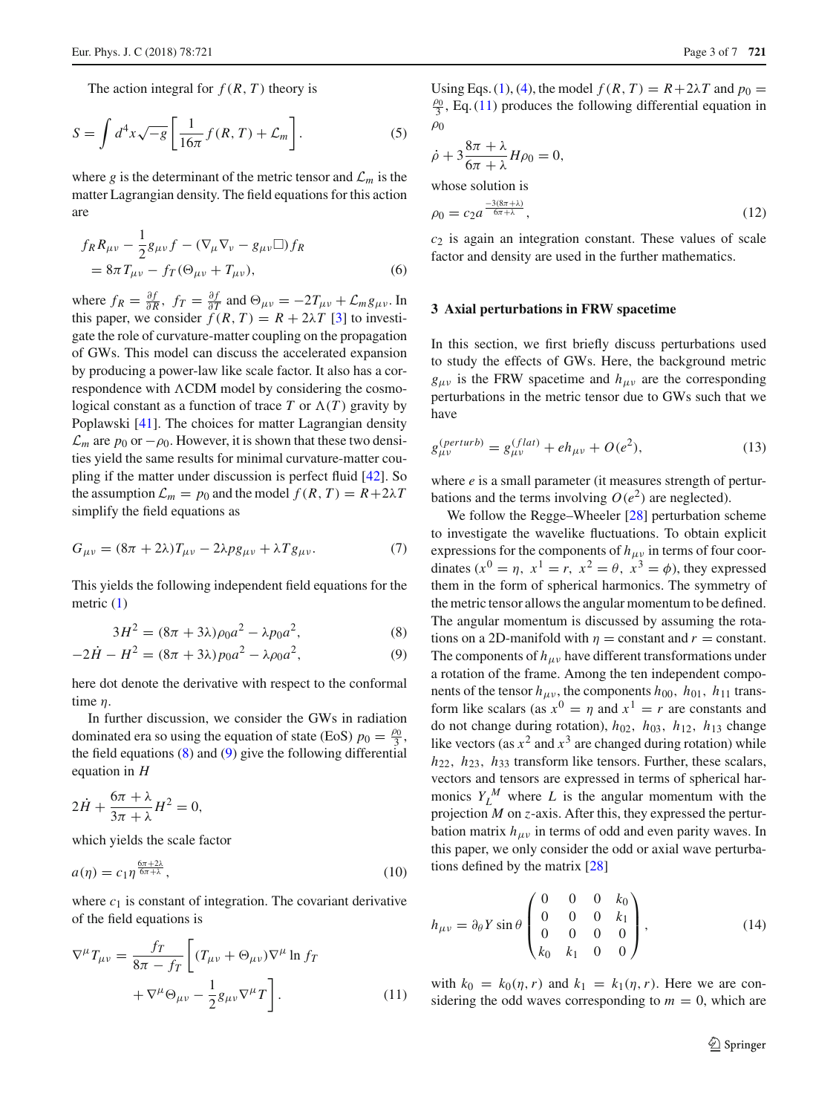The action integral for  $f(R, T)$  theory is

$$
S = \int d^4x \sqrt{-g} \left[ \frac{1}{16\pi} f(R, T) + \mathcal{L}_m \right].
$$
 (5)

where *g* is the determinant of the metric tensor and  $\mathcal{L}_m$  is the matter Lagrangian density. The field equations for this action are

$$
f_R R_{\mu\nu} - \frac{1}{2} g_{\mu\nu} f - (\nabla_\mu \nabla_\nu - g_{\mu\nu}) f_R
$$
  
=  $8\pi T_{\mu\nu} - f_T (\Theta_{\mu\nu} + T_{\mu\nu}),$  (6)

where  $f_R = \frac{\partial f}{\partial R}$ ,  $f_T = \frac{\partial f}{\partial T}$  and  $\Theta_{\mu\nu} = -2T_{\mu\nu} + \mathcal{L}_m g_{\mu\nu}$ . In this paper, we consider  $f(R, T) = R + 2\lambda T$  [\[3](#page-6-2)] to investigate the role of curvature-matter coupling on the propagation of GWs. This model can discuss the accelerated expansion by producing a power-law like scale factor. It also has a correspondence with  $\Lambda$ CDM model by considering the cosmological constant as a function of trace  $T$  or  $\Lambda(T)$  gravity by Poplawski [\[41\]](#page-6-37). The choices for matter Lagrangian density  $\mathcal{L}_m$  are  $p_0$  or  $-\rho_0$ . However, it is shown that these two densities yield the same results for minimal curvature-matter coupling if the matter under discussion is perfect fluid [\[42](#page-6-38)]. So the assumption  $\mathcal{L}_m = p_0$  and the model  $f(R, T) = R + 2\lambda T$ simplify the field equations as

$$
G_{\mu\nu} = (8\pi + 2\lambda)T_{\mu\nu} - 2\lambda pg_{\mu\nu} + \lambda Tg_{\mu\nu}.
$$
 (7)

This yields the following independent field equations for the metric [\(1\)](#page-1-0)

<span id="page-2-1"></span>
$$
3H^2 = (8\pi + 3\lambda)\rho_0 a^2 - \lambda p_0 a^2,\tag{8}
$$

$$
-2\dot{H} - H^2 = (8\pi + 3\lambda)p_0a^2 - \lambda\rho_0a^2,
$$
\t(9)

here dot denote the derivative with respect to the conformal time η.

In further discussion, we consider the GWs in radiation dominated era so using the equation of state (EoS)  $p_0 = \frac{\rho_0}{3}$ , the field equations  $(8)$  and  $(9)$  give the following differential equation in *H*

$$
2\dot{H} + \frac{6\pi + \lambda}{3\pi + \lambda}H^2 = 0,
$$

which yields the scale factor

<span id="page-2-3"></span>
$$
a(\eta) = c_1 \eta^{\frac{6\pi + 2\lambda}{6\pi + \lambda}},\tag{10}
$$

where  $c_1$  is constant of integration. The covariant derivative of the field equations is

<span id="page-2-2"></span>
$$
\nabla^{\mu} T_{\mu\nu} = \frac{f_T}{8\pi - f_T} \left[ (T_{\mu\nu} + \Theta_{\mu\nu}) \nabla^{\mu} \ln f_T + \nabla^{\mu} \Theta_{\mu\nu} - \frac{1}{2} g_{\mu\nu} \nabla^{\mu} T \right].
$$
 (11)

Using Eqs. [\(1\)](#page-1-0), [\(4\)](#page-1-1), the model  $f(R, T) = R + 2\lambda T$  and  $p_0 =$  $\frac{\rho_0}{3}$ , Eq. [\(11\)](#page-2-2) produces the following differential equation in  $\rho_0$ 

$$
\dot{\rho} + 3 \frac{8\pi + \lambda}{6\pi + \lambda} H\rho_0 = 0,
$$
  
whose solution is  

$$
\rho_0 = c_2 a^{\frac{-3(8\pi + \lambda)}{6\pi + \lambda}},
$$
 (12)

*c*<sup>2</sup> is again an integration constant. These values of scale factor and density are used in the further mathematics.

## <span id="page-2-0"></span>**3 Axial perturbations in FRW spacetime**

In this section, we first briefly discuss perturbations used to study the effects of GWs. Here, the background metric  $g_{\mu\nu}$  is the FRW spacetime and  $h_{\mu\nu}$  are the corresponding perturbations in the metric tensor due to GWs such that we have

$$
g_{\mu\nu}^{(perturb)} = g_{\mu\nu}^{(flat)} + eh_{\mu\nu} + O(e^2),
$$
 (13)

where *e* is a small parameter (it measures strength of perturbations and the terms involving  $O(e^2)$  are neglected).

We follow the Regge–Wheeler [\[28\]](#page-6-26) perturbation scheme to investigate the wavelike fluctuations. To obtain explicit expressions for the components of  $h_{\mu\nu}$  in terms of four coordinates  $(x^0 = \eta, x^1 = r, x^2 = \theta, x^3 = \phi)$ , they expressed them in the form of spherical harmonics. The symmetry of the metric tensor allows the angular momentum to be defined. The angular momentum is discussed by assuming the rotations on a 2D-manifold with  $\eta$  = constant and  $r$  = constant. The components of  $h_{\mu\nu}$  have different transformations under a rotation of the frame. Among the ten independent components of the tensor  $h_{\mu\nu}$ , the components  $h_{00}$ ,  $h_{01}$ ,  $h_{11}$  transform like scalars (as  $x^0 = \eta$  and  $x^1 = r$  are constants and do not change during rotation), *h*02, *h*03, *h*12, *h*<sup>13</sup> change like vectors (as  $x^2$  and  $x^3$  are changed during rotation) while *h*22, *h*23, *h*<sup>33</sup> transform like tensors. Further, these scalars, vectors and tensors are expressed in terms of spherical harmonics  $Y_L^M$  where *L* is the angular momentum with the projection *M* on *z*-axis. After this, they expressed the perturbation matrix  $h_{\mu\nu}$  in terms of odd and even parity waves. In this paper, we only consider the odd or axial wave perturbations defined by the matrix [\[28\]](#page-6-26)

$$
h_{\mu\nu} = \partial_{\theta} Y \sin \theta \begin{pmatrix} 0 & 0 & 0 & k_0 \\ 0 & 0 & 0 & k_1 \\ 0 & 0 & 0 & 0 \\ k_0 & k_1 & 0 & 0 \end{pmatrix},
$$
 (14)

with  $k_0 = k_0(\eta, r)$  and  $k_1 = k_1(\eta, r)$ . Here we are considering the odd waves corresponding to  $m = 0$ , which are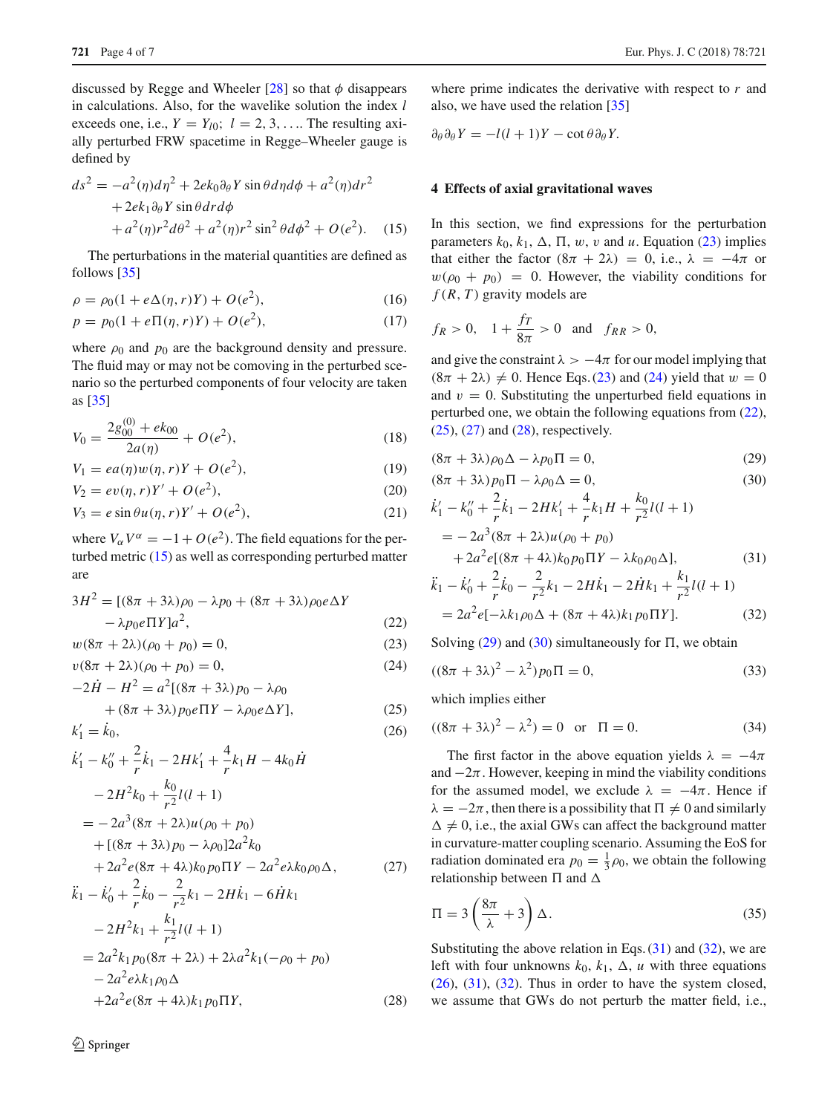discussed by Regge and Wheeler  $[28]$  $[28]$  so that  $\phi$  disappears in calculations. Also, for the wavelike solution the index *l* exceeds one, i.e.,  $Y = Y_{l0}$ ;  $l = 2, 3, \ldots$  The resulting axially perturbed FRW spacetime in Regge–Wheeler gauge is defined by

<span id="page-3-1"></span>
$$
ds^{2} = -a^{2}(\eta)d\eta^{2} + 2ek_{0}\partial_{\theta}Y\sin\theta d\eta d\phi + a^{2}(\eta)d\eta^{2}
$$
  
+2ek\_{1}\partial\_{\theta}Y\sin\theta d\eta d\phi  
+a^{2}(\eta)r^{2}d\theta^{2} + a^{2}(\eta)r^{2}\sin^{2}\theta d\phi^{2} + O(e^{2}). (15)

The perturbations in the material quantities are defined as follows [\[35](#page-6-33)]

$$
\rho = \rho_0 (1 + e\Delta(\eta, r)Y) + O(e^2), \tag{16}
$$

$$
p = p_0(1 + e\Pi(\eta, r)Y) + O(e^2),
$$
\n(17)

where  $\rho_0$  and  $p_0$  are the background density and pressure. The fluid may or may not be comoving in the perturbed scenario so the perturbed components of four velocity are taken as [\[35](#page-6-33)]

$$
V_0 = \frac{2g_{00}^{(0)} + ek_{00}}{2a(\eta)} + O(e^2),\tag{18}
$$

$$
V_1 = ea(\eta)w(\eta, r)Y + O(e^2), \qquad (19)
$$

$$
V_2 = ev(\eta, r)Y' + O(e^2),
$$
\n(20)

$$
V_3 = e \sin \theta u(\eta, r) Y' + O(e^2), \qquad (21)
$$

where  $V_\alpha V^\alpha = -1 + O(e^2)$ . The field equations for the perturbed metric [\(15\)](#page-3-1) as well as corresponding perturbed matter are

<span id="page-3-2"></span>
$$
3H^{2} = [(8\pi + 3\lambda)\rho_{0} - \lambda p_{0} + (8\pi + 3\lambda)\rho_{0}e\Delta Y - \lambda p_{0}e\Pi Y]a^{2},
$$
  
(22)  

$$
w(8\pi + 2\lambda)(\rho_{0} + p_{0}) = 0,
$$

$$
v(8\pi + 2\lambda)(\rho_0 + p_0) = 0,\t(24)
$$

$$
-2\dot{H} - H^2 = a^2[(8\pi + 3\lambda)p_0 - \lambda\rho_0
$$

$$
+ (8\pi + 3\lambda)p_0e\Pi Y - \lambda\rho_0e\Delta Y].
$$
 (25)

$$
k'_1 = k_0,\tag{26}
$$

$$
\begin{split}\n\dot{k}'_1 - k''_0 + \frac{2}{r}\dot{k}_1 - 2Hk'_1 + \frac{4}{r}k_1H - 4k_0\dot{H} \\
&- 2H^2k_0 + \frac{k_0}{r^2}l(l+1) \\
&= -2a^3(8\pi + 2\lambda)u(\rho_0 + p_0) \\
&+ [(8\pi + 3\lambda)p_0 - \lambda\rho_0]2a^2k_0 \\
&+ 2a^2e(8\pi + 4\lambda)k_0p_0\Pi Y - 2a^2e\lambda k_0\rho_0\Delta, \qquad (27) \\
\ddot{k}_1 - \dot{k}'_0 + \frac{2}{r}\dot{k}_0 - \frac{2}{r^2}k_1 - 2H\dot{k}_1 - 6\dot{H}k_1 \\
&- 2H^2k_1 + \frac{k_1}{r^2}l(l+1)\n\end{split}
$$

$$
= 2a^{2}k_{1}p_{0}(8\pi + 2\lambda) + 2\lambda a^{2}k_{1}(-\rho_{0} + p_{0})
$$
  
- 2a^{2}e\lambda k\_{1}\rho\_{0}\Delta  
+ 2a^{2}e(8\pi + 4\lambda)k\_{1}p\_{0}\Pi Y, (28)

where prime indicates the derivative with respect to *r* and also, we have used the relation [\[35\]](#page-6-33)

$$
\partial_{\theta} \partial_{\theta} Y = -l(l+1)Y - \cot \theta \partial_{\theta} Y.
$$

### <span id="page-3-0"></span>**4 Effects of axial gravitational waves**

In this section, we find expressions for the perturbation parameters  $k_0, k_1, \Delta, \Pi, w, v$  and *u*. Equation [\(23\)](#page-3-2) implies that either the factor  $(8\pi + 2\lambda) = 0$ , i.e.,  $\lambda = -4\pi$  or  $w(\rho_0 + p_0) = 0$ . However, the viability conditions for  $f(R, T)$  gravity models are

$$
f_R > 0
$$
,  $1 + \frac{f_T}{8\pi} > 0$  and  $f_{RR} > 0$ ,

and give the constraint  $\lambda > -4\pi$  for our model implying that  $(8\pi + 2\lambda) \neq 0$ . Hence Eqs. [\(23\)](#page-3-2) and [\(24\)](#page-3-2) yield that  $w = 0$ and  $v = 0$ . Substituting the unperturbed field equations in perturbed one, we obtain the following equations from [\(22\)](#page-3-2),  $(25)$ ,  $(27)$  and  $(28)$ , respectively.

<span id="page-3-3"></span>
$$
(8\pi + 3\lambda)\rho_0\Delta - \lambda p_0\Pi = 0,\t(29)
$$

$$
(8\pi + 3\lambda)p_0\Pi - \lambda\rho_0\Delta = 0, \qquad (30)
$$

$$
\begin{split} \dot{k}'_1 - k''_0 + \frac{2}{r} \dot{k}_1 - 2Hk'_1 + \frac{4}{r} k_1 H + \frac{k_0}{r^2} l(l+1) \\ &= -2a^3 (8\pi + 2\lambda) u (\rho_0 + p_0) \\ &+ 2a^2 e [(8\pi + 4\lambda) k_0 p_0 \Pi Y - \lambda k_0 \rho_0 \Delta], \end{split} \tag{31}
$$

$$
\ddot{k}_1 - \dot{k}'_0 + \frac{2}{r}\dot{k}_0 - \frac{2}{r^2}k_1 - 2H\dot{k}_1 - 2\dot{H}k_1 + \frac{k_1}{r^2}l(l+1) \n= 2a^2e[-\lambda k_1\rho_0\Delta + (8\pi + 4\lambda)k_1p_0\Pi Y].
$$
\n(32)

Solving  $(29)$  and  $(30)$  simultaneously for  $\Pi$ , we obtain

$$
((8\pi + 3\lambda)^2 - \lambda^2) p_0 \Pi = 0,
$$
\n(33)

which implies either

$$
((8\pi + 3\lambda)^2 - \lambda^2) = 0
$$
 or  $\Pi = 0.$  (34)

The first factor in the above equation yields  $\lambda = -4\pi$ and  $-2\pi$ . However, keeping in mind the viability conditions for the assumed model, we exclude  $\lambda = -4\pi$ . Hence if  $\lambda = -2\pi$ , then there is a possibility that  $\Pi \neq 0$  and similarly  $\Delta \neq 0$ , i.e., the axial GWs can affect the background matter in curvature-matter coupling scenario. Assuming the EoS for radiation dominated era  $p_0 = \frac{1}{3}\rho_0$ , we obtain the following relationship between  $\Pi$  and  $\Delta$ 

$$
\Pi = 3\left(\frac{8\pi}{\lambda} + 3\right)\Delta. \tag{35}
$$

Substituting the above relation in Eqs.  $(31)$  and  $(32)$ , we are left with four unknowns  $k_0$ ,  $k_1$ ,  $\Delta$ , *u* with three equations  $(26)$ ,  $(31)$ ,  $(32)$ . Thus in order to have the system closed, we assume that GWs do not perturb the matter field, i.e.,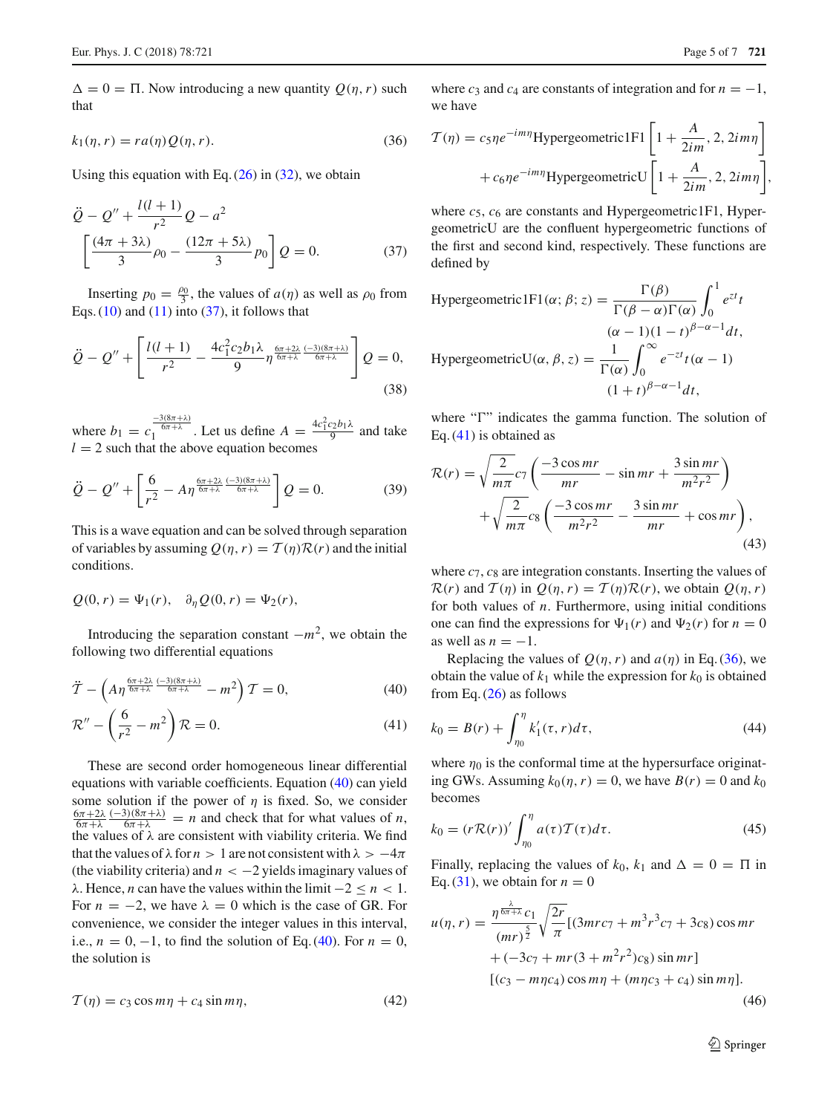$\Delta = 0 = \Pi$ . Now introducing a new quantity  $Q(\eta, r)$  such that

<span id="page-4-2"></span>
$$
k_1(\eta, r) = r a(\eta) Q(\eta, r).
$$
\n(36)

Using this equation with Eq.  $(26)$  in  $(32)$ , we obtain

<span id="page-4-0"></span>
$$
\ddot{Q} - Q'' + \frac{l(l+1)}{r^2} Q - a^2
$$

$$
\left[ \frac{(4\pi + 3\lambda)}{3} \rho_0 - \frac{(12\pi + 5\lambda)}{3} \rho_0 \right] Q = 0.
$$
 (37)

Inserting  $p_0 = \frac{\rho_0}{3}$ , the values of  $a(\eta)$  as well as  $\rho_0$  from Eqs.  $(10)$  and  $(11)$  into  $(37)$ , it follows that

$$
\ddot{Q} - Q'' + \left[ \frac{l(l+1)}{r^2} - \frac{4c_1^2 c_2 b_1 \lambda}{9} \eta^{\frac{6\pi + 2\lambda}{6\pi + \lambda}} \frac{(-3)(8\pi + \lambda)}{6\pi + \lambda} \right] Q = 0,
$$
\n(38)

where  $b_1 = c_1^{\frac{-3(8\pi+\lambda)}{6\pi+\lambda}}$ . Let us define  $A = \frac{4c_1^2c_2b_1\lambda}{9}$  and take  $l = 2$  such that the above equation becomes

$$
\ddot{Q} - Q'' + \left[ \frac{6}{r^2} - A\eta^{\frac{6\pi + 2\lambda}{6\pi + \lambda}} \frac{(-3)(8\pi + \lambda)}{6\pi + \lambda} \right] Q = 0.
$$
 (39)

This is a wave equation and can be solved through separation of variables by assuming  $Q(\eta, r) = T(\eta)R(r)$  and the initial conditions.

$$
Q(0,r) = \Psi_1(r), \quad \partial_\eta Q(0,r) = \Psi_2(r),
$$

Introducing the separation constant  $-m^2$ , we obtain the following two differential equations

<span id="page-4-1"></span>
$$
\ddot{T} - \left(A\eta^{\frac{6\pi + 2\lambda}{6\pi + \lambda}} \frac{(-3)(8\pi + \lambda)}{6\pi + \lambda} - m^2\right)T = 0,\tag{40}
$$

$$
\mathcal{R}'' - \left(\frac{6}{r^2} - m^2\right)\mathcal{R} = 0.
$$
\n(41)

These are second order homogeneous linear differential equations with variable coefficients. Equation [\(40\)](#page-4-1) can yield some solution if the power of  $\eta$  is fixed. So, we consider  $rac{6\pi+2\lambda}{6\pi+\lambda}$  $\frac{(-3)(8\pi+\lambda)}{6\pi+\lambda}$  = *n* and check that for what values of *n*, the values of  $\lambda$  are consistent with viability criteria. We find that the values of  $\lambda$  for  $n > 1$  are not consistent with  $\lambda > -4\pi$ (the viability criteria) and *n* < −2 yields imaginary values of λ. Hence, *n* can have the values within the limit  $-2 \le n < 1$ . For  $n = -2$ , we have  $\lambda = 0$  which is the case of GR. For convenience, we consider the integer values in this interval, i.e.,  $n = 0, -1$ , to find the solution of Eq. [\(40\)](#page-4-1). For  $n = 0$ , the solution is

$$
\mathcal{T}(\eta) = c_3 \cos m\eta + c_4 \sin m\eta, \tag{42}
$$

where  $c_3$  and  $c_4$  are constants of integration and for  $n = -1$ , we have

$$
\mathcal{T}(\eta) = c_5 \eta e^{-im\eta} \text{Hypergoometric IF1} \left[ 1 + \frac{A}{2im}, 2, 2im\eta \right] + c_6 \eta e^{-im\eta} \text{HypergoometricU} \left[ 1 + \frac{A}{2im}, 2, 2im\eta \right],
$$

where  $c_5$ ,  $c_6$  are constants and Hypergeometric1F1, HypergeometricU are the confluent hypergeometric functions of the first and second kind, respectively. These functions are defined by

Hypergeometric IFI(
$$
\alpha
$$
;  $\beta$ ;  $z$ ) =  $\frac{\Gamma(\beta)}{\Gamma(\beta - \alpha)\Gamma(\alpha)} \int_0^1 e^{zt} t$   
\n
$$
(\alpha - 1)(1 - t)^{\beta - \alpha - 1} dt,
$$
\nHypergeometricU( $\alpha$ ,  $\beta$ ,  $z$ ) =  $\frac{1}{\Gamma(\alpha)} \int_0^\infty e^{-zt} t(\alpha - 1)$   
\n
$$
(1 + t)^{\beta - \alpha - 1} dt,
$$

where " $\Gamma$ " indicates the gamma function. The solution of Eq. [\(41\)](#page-4-1) is obtained as

$$
\mathcal{R}(r) = \sqrt{\frac{2}{m\pi}} c_7 \left( \frac{-3\cos mr}{mr} - \sin mr + \frac{3\sin mr}{m^2 r^2} \right)
$$

$$
+ \sqrt{\frac{2}{m\pi}} c_8 \left( \frac{-3\cos mr}{m^2 r^2} - \frac{3\sin mr}{mr} + \cos mr \right), \tag{43}
$$

where  $c_7$ ,  $c_8$  are integration constants. Inserting the values of  $\mathcal{R}(r)$  and  $\mathcal{T}(\eta)$  in  $Q(\eta, r) = \mathcal{T}(\eta)\mathcal{R}(r)$ , we obtain  $Q(\eta, r)$ for both values of *n*. Furthermore, using initial conditions one can find the expressions for  $\Psi_1(r)$  and  $\Psi_2(r)$  for  $n = 0$ as well as  $n = -1$ .

Replacing the values of  $Q(\eta, r)$  and  $a(\eta)$  in Eq. [\(36\)](#page-4-2), we obtain the value of  $k_1$  while the expression for  $k_0$  is obtained from Eq.  $(26)$  as follows

$$
k_0 = B(r) + \int_{\eta_0}^{\eta} k'_1(\tau, r) d\tau,
$$
\n(44)

where  $\eta_0$  is the conformal time at the hypersurface originating GWs. Assuming  $k_0(\eta, r) = 0$ , we have  $B(r) = 0$  and  $k_0$ becomes

$$
k_0 = (r\mathcal{R}(r))'\int_{\eta_0}^{\eta} a(\tau)\mathcal{T}(\tau)d\tau.
$$
 (45)

Finally, replacing the values of  $k_0$ ,  $k_1$  and  $\Delta = 0 = \Pi$  in Eq. [\(31\)](#page-3-3), we obtain for  $n = 0$ 

<span id="page-4-3"></span>
$$
u(\eta, r) = \frac{\eta^{\frac{\lambda}{6\pi+\lambda}}c_1}{(mr)^{\frac{5}{2}}} \sqrt{\frac{2r}{\pi}} [(3mrc_7 + m^3r^3c_7 + 3c_8)\cos mr + (-3c_7 + mr(3 + m^2r^2)c_8)\sin mr] [(c_3 - mrc_4)\cos m\eta + (mrc_3 + c_4)\sin m\eta].
$$
\n(46)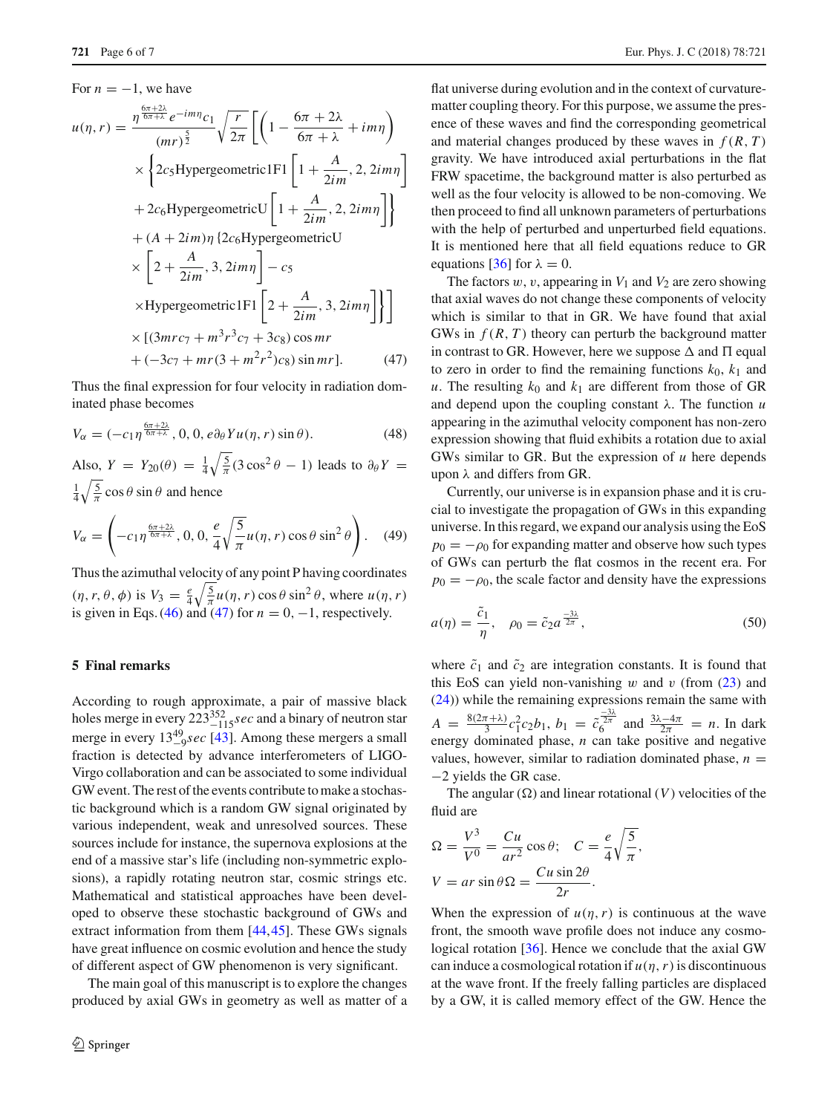# <span id="page-5-0"></span>For  $n = -1$ , we have  $u(\eta, r) = \frac{\eta^{\frac{6\pi+2\lambda}{6\pi+\lambda}}e^{-im\eta}c_1}{\sqrt{\frac{5}{\pi}}}$  $(mr)^{\frac{5}{2}}$  *r*  $\frac{r}{2\pi} \left[ \left( 1 - \frac{6\pi + 2\lambda}{6\pi + \lambda} + im\eta \right) \right]$ ×  $\left\{ 2c_5 \text{Hypergeometric1F1} \left[ 1 + \frac{A}{2im}, 2, 2im\eta \right] \right\}$  $+2c_6$ HypergeometricU $\left[1+\frac{A}{2im},2,2im\eta\right]$  $+(A + 2*i*m)\eta$  {2 $c_6$ HypergeometricU ×  $\left[2+\frac{A}{2im},3,2im\eta\right]-c_5$  $\times$ Hypergeometric1F1 $\left[2 + \frac{A}{2im}, 3, 2im\eta\right]$  $\times$  [(3*mrc*<sub>7</sub> +  $m^3r^3c_7$  + 3*c*<sub>8</sub>) cos *mr*  $+ (-3c_7 + mr(3 + m^2r^2)c_8) \sin mr].$  (47)

Thus the final expression for four velocity in radiation dominated phase becomes

$$
V_{\alpha} = (-c_1 \eta^{\frac{6\pi + 2\lambda}{6\pi + \lambda}}, 0, 0, e\partial_{\theta} Yu(\eta, r) \sin \theta).
$$
 (48)

Also,  $Y = Y_{20}(\theta) = \frac{1}{4} \sqrt{\frac{5}{\pi}} (3 \cos^2 \theta - 1)$  leads to  $\partial_{\theta} Y =$  $\frac{1}{4}\sqrt{\frac{5}{\pi}}\cos\theta\sin\theta$  and hence

$$
V_{\alpha} = \left(-c_1 \eta^{\frac{6\pi + 2\lambda}{6\pi + \lambda}}, 0, 0, \frac{e}{4} \sqrt{\frac{5}{\pi}} u(\eta, r) \cos \theta \sin^2 \theta\right). \quad (49)
$$

Thus the azimuthal velocity of any point P having coordinates  $(\eta, r, \theta, \phi)$  is  $V_3 = \frac{e}{4} \sqrt{\frac{5}{\pi}} u(\eta, r) \cos \theta \sin^2 \theta$ , where  $u(\eta, r)$ is given in Eqs. [\(46\)](#page-4-3) and [\(47\)](#page-5-0) for  $n = 0, -1$ , respectively.

## **5 Final remarks**

According to rough approximate, a pair of massive black holes merge in every 223<sup>352</sup><sub>-115</sub>*sec* and a binary of neutron star merge in every  $13^{49}_{-9}$ *sec* [\[43](#page-6-39)]. Among these mergers a small fraction is detected by advance interferometers of LIGO-Virgo collaboration and can be associated to some individual GW event. The rest of the events contribute to make a stochastic background which is a random GW signal originated by various independent, weak and unresolved sources. These sources include for instance, the supernova explosions at the end of a massive star's life (including non-symmetric explosions), a rapidly rotating neutron star, cosmic strings etc. Mathematical and statistical approaches have been developed to observe these stochastic background of GWs and extract information from them [\[44](#page-6-40),[45\]](#page-6-41). These GWs signals have great influence on cosmic evolution and hence the study of different aspect of GW phenomenon is very significant.

The main goal of this manuscript is to explore the changes produced by axial GWs in geometry as well as matter of a

flat universe during evolution and in the context of curvaturematter coupling theory. For this purpose, we assume the presence of these waves and find the corresponding geometrical and material changes produced by these waves in  $f(R, T)$ gravity. We have introduced axial perturbations in the flat FRW spacetime, the background matter is also perturbed as well as the four velocity is allowed to be non-comoving. We then proceed to find all unknown parameters of perturbations with the help of perturbed and unperturbed field equations. It is mentioned here that all field equations reduce to GR equations [\[36](#page-6-34)] for  $\lambda = 0$ .

The factors  $w$ ,  $v$ , appearing in  $V_1$  and  $V_2$  are zero showing that axial waves do not change these components of velocity which is similar to that in GR. We have found that axial GWs in *f* (*R*, *T* ) theory can perturb the background matter in contrast to GR. However, here we suppose  $\Delta$  and  $\Pi$  equal to zero in order to find the remaining functions  $k_0$ ,  $k_1$  and *u*. The resulting  $k_0$  and  $k_1$  are different from those of GR and depend upon the coupling constant λ. The function *u* appearing in the azimuthal velocity component has non-zero expression showing that fluid exhibits a rotation due to axial GWs similar to GR. But the expression of *u* here depends upon  $\lambda$  and differs from GR.

Currently, our universe is in expansion phase and it is crucial to investigate the propagation of GWs in this expanding universe. In this regard, we expand our analysis using the EoS  $p_0 = -\rho_0$  for expanding matter and observe how such types of GWs can perturb the flat cosmos in the recent era. For  $p_0 = -\rho_0$ , the scale factor and density have the expressions

$$
a(\eta) = \frac{\tilde{c}_1}{\eta}, \quad \rho_0 = \tilde{c}_2 a^{\frac{-3\lambda}{2\pi}}, \tag{50}
$$

where  $\tilde{c}_1$  and  $\tilde{c}_2$  are integration constants. It is found that this EoS can yield non-vanishing  $w$  and  $v$  (from  $(23)$  and [\(24\)](#page-3-2)) while the remaining expressions remain the same with  $A = \frac{8(2\pi + \lambda)}{3}c_1^2c_2b_1$ ,  $b_1 = \tilde{c}_6^{\frac{-3\lambda}{2\pi}}$  and  $\frac{3\lambda - 4\pi}{2\pi} = n$ . In dark energy dominated phase, *n* can take positive and negative values, however, similar to radiation dominated phase,  $n =$ −2 yields the GR case.

The angular  $(\Omega)$  and linear rotational  $(V)$  velocities of the fluid are

$$
\Omega = \frac{V^3}{V^0} = \frac{Cu}{ar^2} \cos \theta; \quad C = \frac{e}{4} \sqrt{\frac{5}{\pi}},
$$

$$
V = ar \sin \theta \Omega = \frac{Cu \sin 2\theta}{2r}.
$$

When the expression of  $u(\eta, r)$  is continuous at the wave front, the smooth wave profile does not induce any cosmological rotation [\[36](#page-6-34)]. Hence we conclude that the axial GW can induce a cosmological rotation if  $u(\eta, r)$  is discontinuous at the wave front. If the freely falling particles are displaced by a GW, it is called memory effect of the GW. Hence the